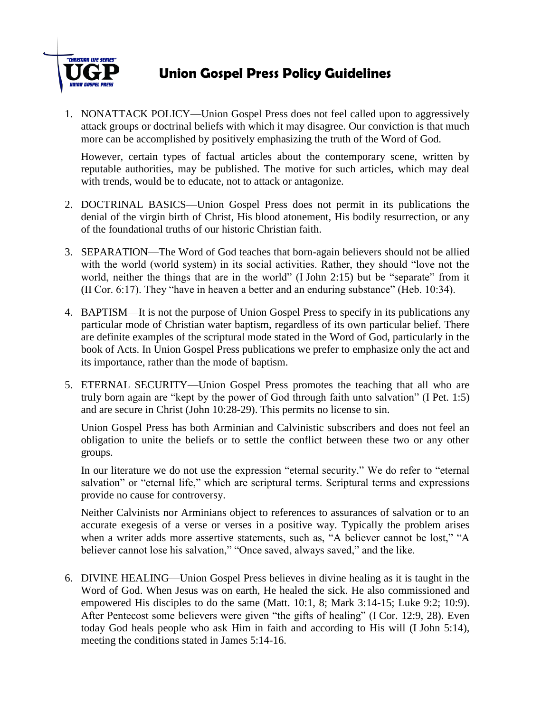

## **Union Gospel Press Policy Guidelines**

1. NONATTACK POLICY—Union Gospel Press does not feel called upon to aggressively attack groups or doctrinal beliefs with which it may disagree. Our conviction is that much more can be accomplished by positively emphasizing the truth of the Word of God.

However, certain types of factual articles about the contemporary scene, written by reputable authorities, may be published. The motive for such articles, which may deal with trends, would be to educate, not to attack or antagonize.

- 2. DOCTRINAL BASICS—Union Gospel Press does not permit in its publications the denial of the virgin birth of Christ, His blood atonement, His bodily resurrection, or any of the foundational truths of our historic Christian faith.
- 3. SEPARATION—The Word of God teaches that born-again believers should not be allied with the world (world system) in its social activities. Rather, they should "love not the world, neither the things that are in the world" (I John 2:15) but be "separate" from it (II Cor. 6:17). They "have in heaven a better and an enduring substance" (Heb. 10:34).
- 4. BAPTISM—It is not the purpose of Union Gospel Press to specify in its publications any particular mode of Christian water baptism, regardless of its own particular belief. There are definite examples of the scriptural mode stated in the Word of God, particularly in the book of Acts. In Union Gospel Press publications we prefer to emphasize only the act and its importance, rather than the mode of baptism.
- 5. ETERNAL SECURITY—Union Gospel Press promotes the teaching that all who are truly born again are "kept by the power of God through faith unto salvation" (I Pet. 1:5) and are secure in Christ (John 10:28-29). This permits no license to sin.

Union Gospel Press has both Arminian and Calvinistic subscribers and does not feel an obligation to unite the beliefs or to settle the conflict between these two or any other groups.

In our literature we do not use the expression "eternal security." We do refer to "eternal salvation" or "eternal life," which are scriptural terms. Scriptural terms and expressions provide no cause for controversy.

Neither Calvinists nor Arminians object to references to assurances of salvation or to an accurate exegesis of a verse or verses in a positive way. Typically the problem arises when a writer adds more assertive statements, such as, "A believer cannot be lost," "A believer cannot lose his salvation," "Once saved, always saved," and the like.

6. DIVINE HEALING—Union Gospel Press believes in divine healing as it is taught in the Word of God. When Jesus was on earth, He healed the sick. He also commissioned and empowered His disciples to do the same (Matt. 10:1, 8; Mark 3:14-15; Luke 9:2; 10:9). After Pentecost some believers were given "the gifts of healing" (I Cor. 12:9, 28). Even today God heals people who ask Him in faith and according to His will (I John 5:14), meeting the conditions stated in James 5:14-16.